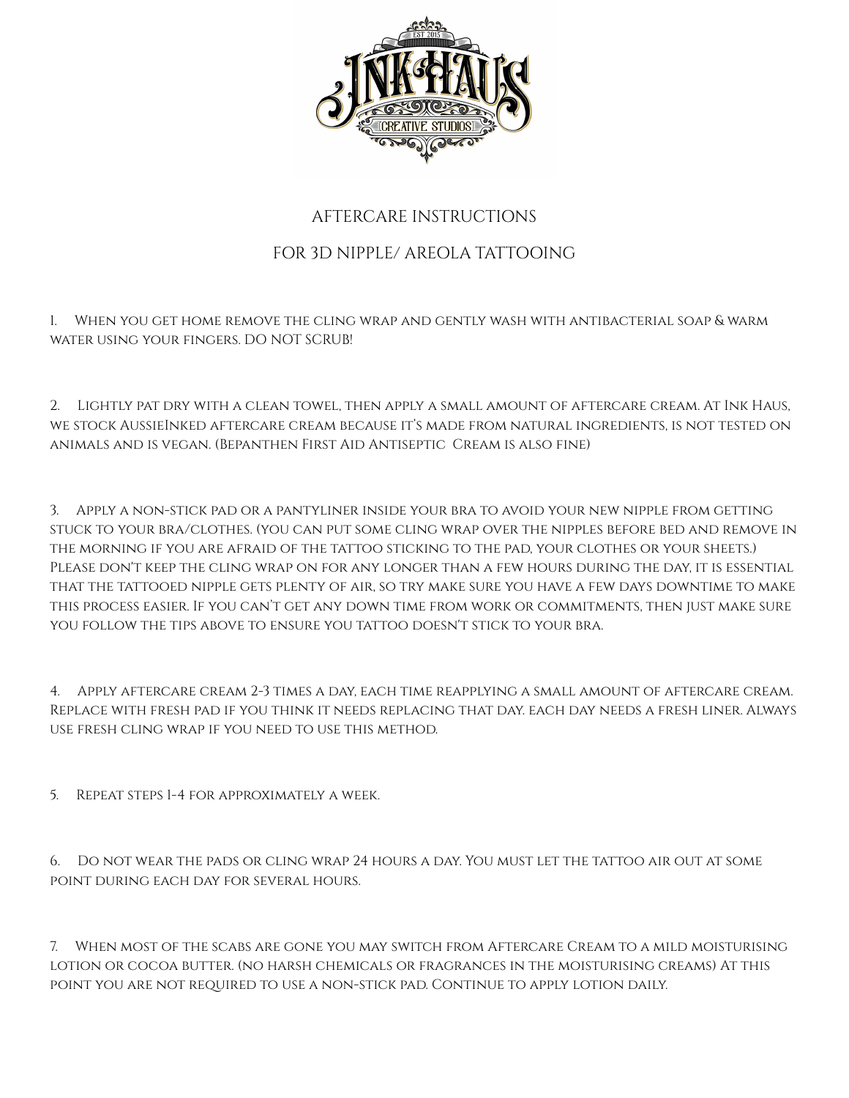

## AFTERCARE INSTRUCTIONS

## FOR 3D NIPPLE/ AREOLA TATTOOING

1. When you get home remove the cling wrap and gently wash with antibacterial soap & warm water using your fingers. DO NOT SCRUB!

2. Lightly pat dry with a clean towel, then apply a small amount of aftercare cream. At Ink Haus, we stock AussieInked aftercare cream because it's made from natural ingredients, is not tested on animals and is vegan. (Bepanthen First Aid Antiseptic Cream is also fine)

3. Apply a non-stick pad or a pantyliner inside your bra to avoid your new nipple from getting stuck to your bra/clothes. (you can put some cling wrap over the nipples before bed and remove in the morning if you are afraid of the tattoo sticking to the pad, your clothes or your sheets.) Please don't keep the cling wrap on for any longer than a few hours during the day, it is essential that the tattooed nipple gets plenty of air, so try make sure you have a few days downtime to make this process easier. If you can't get any down time from work or commitments, then just make sure YOU FOLLOW THE TIPS ABOVE TO ENSURE YOU TATTOO DOESN'T STICK TO YOUR BRA.

4. Apply aftercare cream 2-3 times a day, each time reapplying a small amount of aftercare cream. Replace with fresh pad if you think it needs replacing that day. each day needs a fresh liner. Always use fresh cling wrap if you need to use this method.

5. Repeat steps 1-4 for approximately a week.

6. Do not wear the pads or cling wrap 24 hours a day. You must let the tattoo air out at some point during each day for several hours.

7. When most of the scabs are gone you may switch from Aftercare Cream to a mild moisturising lotion or cocoa butter. (no harsh chemicals or fragrances in the moisturising creams) At this point you are not required to use a non-stick pad. Continue to apply lotion daily.